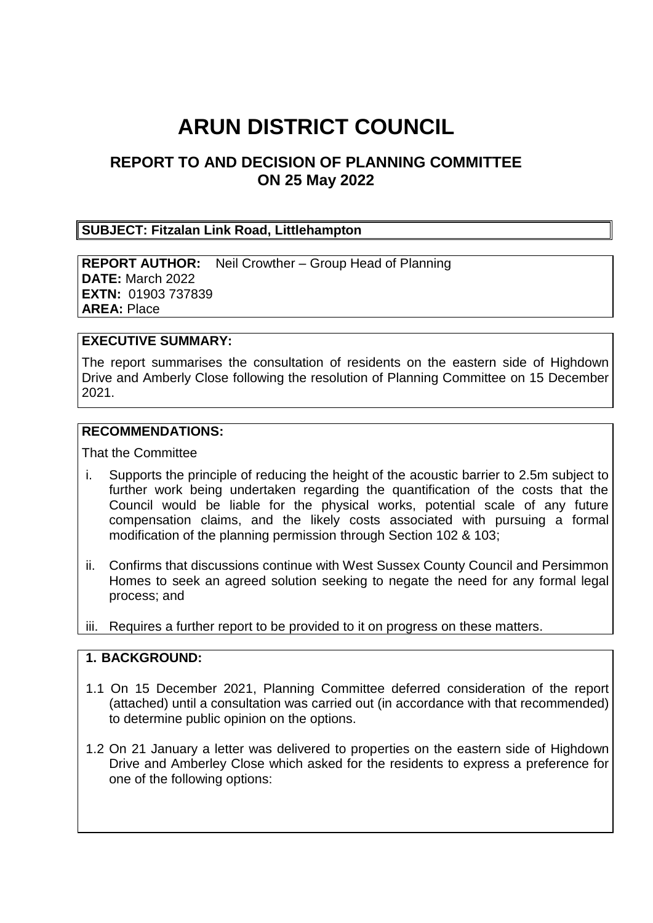# **ARUN DISTRICT COUNCIL**

# **REPORT TO AND DECISION OF PLANNING COMMITTEE ON 25 May 2022**

#### **SUBJECT: Fitzalan Link Road, Littlehampton**

**REPORT AUTHOR:** Neil Crowther – Group Head of Planning **DATE:** March 2022 **EXTN:** 01903 737839 **AREA:** Place

#### **EXECUTIVE SUMMARY:**

The report summarises the consultation of residents on the eastern side of Highdown Drive and Amberly Close following the resolution of Planning Committee on 15 December 2021.

#### **RECOMMENDATIONS:**

That the Committee

- i. Supports the principle of reducing the height of the acoustic barrier to 2.5m subject to further work being undertaken regarding the quantification of the costs that the Council would be liable for the physical works, potential scale of any future compensation claims, and the likely costs associated with pursuing a formal modification of the planning permission through Section 102 & 103;
- ii. Confirms that discussions continue with West Sussex County Council and Persimmon Homes to seek an agreed solution seeking to negate the need for any formal legal process; and
- iii. Requires a further report to be provided to it on progress on these matters.

#### **1. BACKGROUND:**

- 1.1 On 15 December 2021, Planning Committee deferred consideration of the report (attached) until a consultation was carried out (in accordance with that recommended) to determine public opinion on the options.
- 1.2 On 21 January a letter was delivered to properties on the eastern side of Highdown Drive and Amberley Close which asked for the residents to express a preference for one of the following options: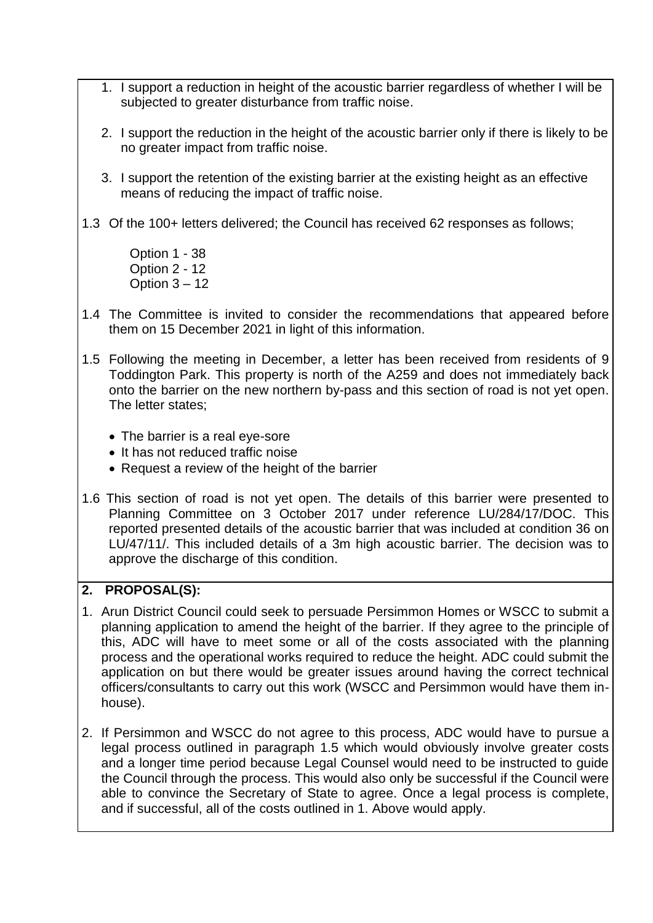- 1. I support a reduction in height of the acoustic barrier regardless of whether I will be subjected to greater disturbance from traffic noise.
- 2. I support the reduction in the height of the acoustic barrier only if there is likely to be no greater impact from traffic noise.
- 3. I support the retention of the existing barrier at the existing height as an effective means of reducing the impact of traffic noise.
- 1.3 Of the 100+ letters delivered; the Council has received 62 responses as follows;

Option 1 - 38 Option 2 - 12 Option  $3 - 12$ 

- 1.4 The Committee is invited to consider the recommendations that appeared before them on 15 December 2021 in light of this information.
- 1.5 Following the meeting in December, a letter has been received from residents of 9 Toddington Park. This property is north of the A259 and does not immediately back onto the barrier on the new northern by-pass and this section of road is not yet open. The letter states;
	- The barrier is a real eve-sore
	- It has not reduced traffic noise
	- Request a review of the height of the barrier
- 1.6 This section of road is not yet open. The details of this barrier were presented to Planning Committee on 3 October 2017 under reference LU/284/17/DOC. This reported presented details of the acoustic barrier that was included at condition 36 on LU/47/11/. This included details of a 3m high acoustic barrier. The decision was to approve the discharge of this condition.

# **2. PROPOSAL(S):**

- 1. Arun District Council could seek to persuade Persimmon Homes or WSCC to submit a planning application to amend the height of the barrier. If they agree to the principle of this, ADC will have to meet some or all of the costs associated with the planning process and the operational works required to reduce the height. ADC could submit the application on but there would be greater issues around having the correct technical officers/consultants to carry out this work (WSCC and Persimmon would have them inhouse).
- 2. If Persimmon and WSCC do not agree to this process, ADC would have to pursue a legal process outlined in paragraph 1.5 which would obviously involve greater costs and a longer time period because Legal Counsel would need to be instructed to guide the Council through the process. This would also only be successful if the Council were able to convince the Secretary of State to agree. Once a legal process is complete, and if successful, all of the costs outlined in 1. Above would apply.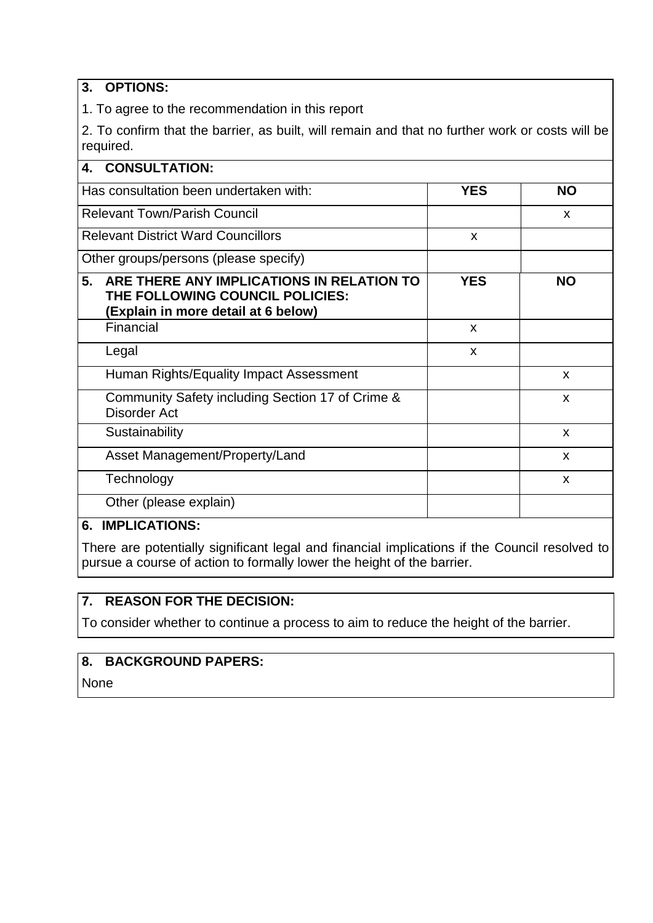## **3. OPTIONS:**

1. To agree to the recommendation in this report

2. To confirm that the barrier, as built, will remain and that no further work or costs will be required.

| <b>CONSULTATION:</b><br>4.                                                                                                |            |              |
|---------------------------------------------------------------------------------------------------------------------------|------------|--------------|
| Has consultation been undertaken with:                                                                                    | <b>YES</b> | <b>NO</b>    |
| <b>Relevant Town/Parish Council</b>                                                                                       |            | X            |
| <b>Relevant District Ward Councillors</b>                                                                                 | X          |              |
| Other groups/persons (please specify)                                                                                     |            |              |
| ARE THERE ANY IMPLICATIONS IN RELATION TO<br>5.<br>THE FOLLOWING COUNCIL POLICIES:<br>(Explain in more detail at 6 below) | <b>YES</b> | <b>NO</b>    |
| Financial                                                                                                                 | X          |              |
| Legal                                                                                                                     | X          |              |
| Human Rights/Equality Impact Assessment                                                                                   |            | X            |
| Community Safety including Section 17 of Crime &<br>Disorder Act                                                          |            | X            |
| Sustainability                                                                                                            |            | X            |
| Asset Management/Property/Land                                                                                            |            | $\mathsf{x}$ |
| Technology                                                                                                                |            | X            |
| Other (please explain)                                                                                                    |            |              |

# **6. IMPLICATIONS:**

There are potentially significant legal and financial implications if the Council resolved to pursue a course of action to formally lower the height of the barrier.

## **7. REASON FOR THE DECISION:**

To consider whether to continue a process to aim to reduce the height of the barrier.

## **8. BACKGROUND PAPERS:**

None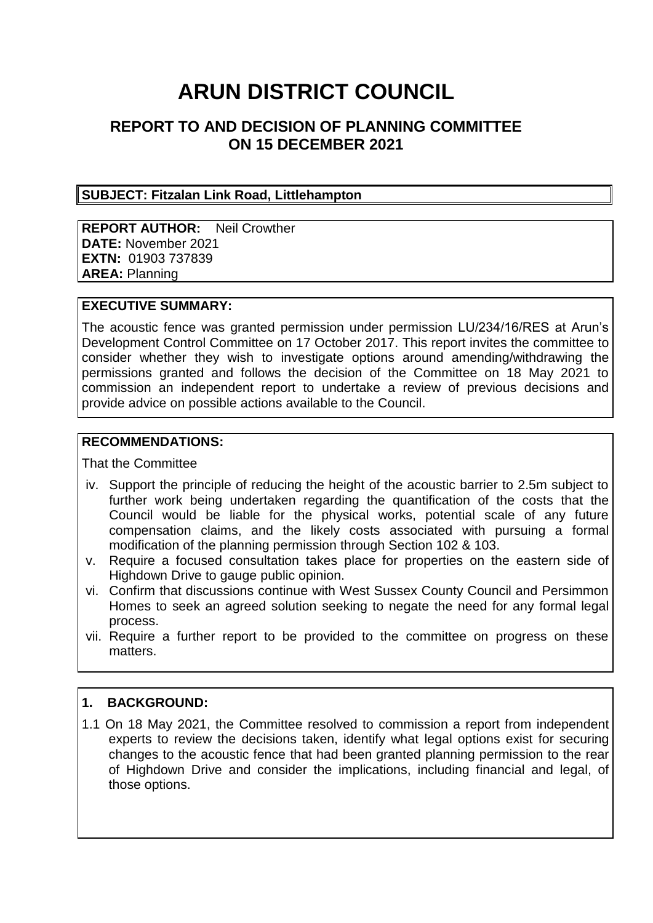# **ARUN DISTRICT COUNCIL**

# **REPORT TO AND DECISION OF PLANNING COMMITTEE ON 15 DECEMBER 2021**

#### **SUBJECT: Fitzalan Link Road, Littlehampton**

**REPORT AUTHOR:** Neil Crowther **DATE:** November 2021 **EXTN:** 01903 737839 **AREA:** Planning

#### **EXECUTIVE SUMMARY:**

The acoustic fence was granted permission under permission LU/234/16/RES at Arun's Development Control Committee on 17 October 2017. This report invites the committee to consider whether they wish to investigate options around amending/withdrawing the permissions granted and follows the decision of the Committee on 18 May 2021 to commission an independent report to undertake a review of previous decisions and provide advice on possible actions available to the Council.

#### **RECOMMENDATIONS:**

That the Committee

- iv. Support the principle of reducing the height of the acoustic barrier to 2.5m subject to further work being undertaken regarding the quantification of the costs that the Council would be liable for the physical works, potential scale of any future compensation claims, and the likely costs associated with pursuing a formal modification of the planning permission through Section 102 & 103.
- v. Require a focused consultation takes place for properties on the eastern side of Highdown Drive to gauge public opinion.
- vi. Confirm that discussions continue with West Sussex County Council and Persimmon Homes to seek an agreed solution seeking to negate the need for any formal legal process.
- vii. Require a further report to be provided to the committee on progress on these matters.

#### **1. BACKGROUND:**

1.1 On 18 May 2021, the Committee resolved to commission a report from independent experts to review the decisions taken, identify what legal options exist for securing changes to the acoustic fence that had been granted planning permission to the rear of Highdown Drive and consider the implications, including financial and legal, of those options.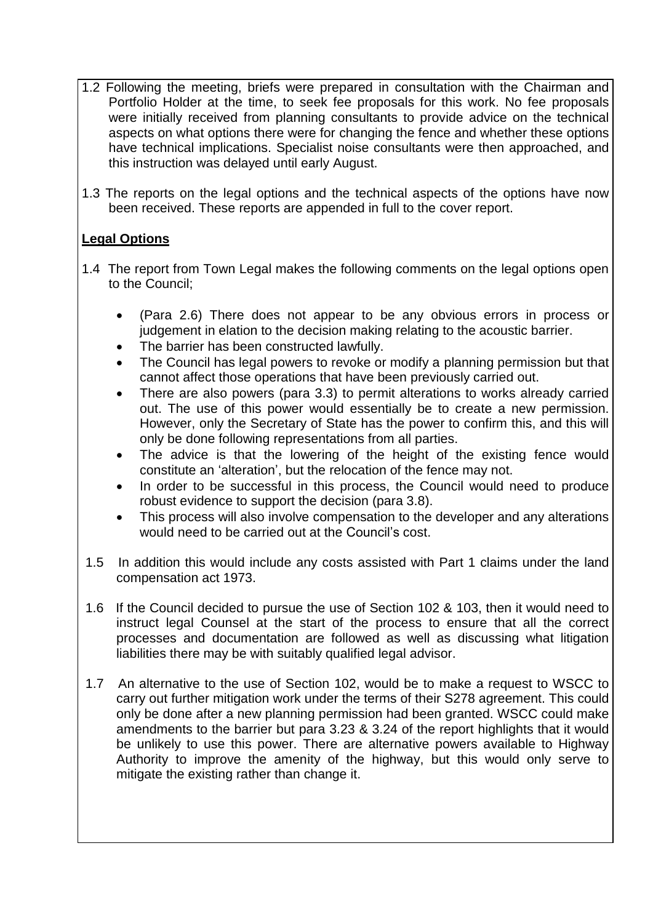- 1.2 Following the meeting, briefs were prepared in consultation with the Chairman and Portfolio Holder at the time, to seek fee proposals for this work. No fee proposals were initially received from planning consultants to provide advice on the technical aspects on what options there were for changing the fence and whether these options have technical implications. Specialist noise consultants were then approached, and this instruction was delayed until early August.
- 1.3 The reports on the legal options and the technical aspects of the options have now been received. These reports are appended in full to the cover report.

## **Legal Options**

- 1.4 The report from Town Legal makes the following comments on the legal options open to the Council;
	- (Para 2.6) There does not appear to be any obvious errors in process or judgement in elation to the decision making relating to the acoustic barrier.
	- The barrier has been constructed lawfully.
	- The Council has legal powers to revoke or modify a planning permission but that cannot affect those operations that have been previously carried out.
	- There are also powers (para 3.3) to permit alterations to works already carried out. The use of this power would essentially be to create a new permission. However, only the Secretary of State has the power to confirm this, and this will only be done following representations from all parties.
	- The advice is that the lowering of the height of the existing fence would constitute an 'alteration', but the relocation of the fence may not.
	- In order to be successful in this process, the Council would need to produce robust evidence to support the decision (para 3.8).
	- This process will also involve compensation to the developer and any alterations would need to be carried out at the Council's cost.
- 1.5 In addition this would include any costs assisted with Part 1 claims under the land compensation act 1973.
- 1.6 If the Council decided to pursue the use of Section 102 & 103, then it would need to instruct legal Counsel at the start of the process to ensure that all the correct processes and documentation are followed as well as discussing what litigation liabilities there may be with suitably qualified legal advisor.
- 1.7 An alternative to the use of Section 102, would be to make a request to WSCC to carry out further mitigation work under the terms of their S278 agreement. This could only be done after a new planning permission had been granted. WSCC could make amendments to the barrier but para 3.23 & 3.24 of the report highlights that it would be unlikely to use this power. There are alternative powers available to Highway Authority to improve the amenity of the highway, but this would only serve to mitigate the existing rather than change it.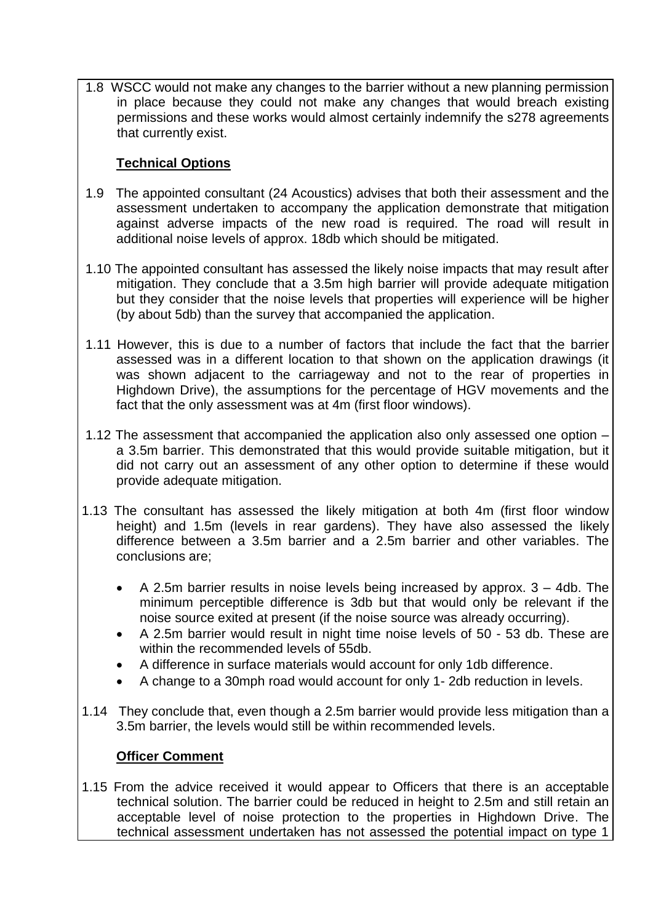1.8 WSCC would not make any changes to the barrier without a new planning permission in place because they could not make any changes that would breach existing permissions and these works would almost certainly indemnify the s278 agreements that currently exist.

# **Technical Options**

- 1.9 The appointed consultant (24 Acoustics) advises that both their assessment and the assessment undertaken to accompany the application demonstrate that mitigation against adverse impacts of the new road is required. The road will result in additional noise levels of approx. 18db which should be mitigated.
- 1.10 The appointed consultant has assessed the likely noise impacts that may result after mitigation. They conclude that a 3.5m high barrier will provide adequate mitigation but they consider that the noise levels that properties will experience will be higher (by about 5db) than the survey that accompanied the application.
- 1.11 However, this is due to a number of factors that include the fact that the barrier assessed was in a different location to that shown on the application drawings (it was shown adjacent to the carriageway and not to the rear of properties in Highdown Drive), the assumptions for the percentage of HGV movements and the fact that the only assessment was at 4m (first floor windows).
- 1.12 The assessment that accompanied the application also only assessed one option a 3.5m barrier. This demonstrated that this would provide suitable mitigation, but it did not carry out an assessment of any other option to determine if these would provide adequate mitigation.
- 1.13 The consultant has assessed the likely mitigation at both 4m (first floor window height) and 1.5m (levels in rear gardens). They have also assessed the likely difference between a 3.5m barrier and a 2.5m barrier and other variables. The conclusions are;
	- A 2.5m barrier results in noise levels being increased by approx. 3 4db. The minimum perceptible difference is 3db but that would only be relevant if the noise source exited at present (if the noise source was already occurring).
	- A 2.5m barrier would result in night time noise levels of 50 53 db. These are within the recommended levels of 55db.
	- A difference in surface materials would account for only 1db difference.
	- A change to a 30mph road would account for only 1- 2db reduction in levels.
- 1.14 They conclude that, even though a 2.5m barrier would provide less mitigation than a 3.5m barrier, the levels would still be within recommended levels.

## **Officer Comment**

1.15 From the advice received it would appear to Officers that there is an acceptable technical solution. The barrier could be reduced in height to 2.5m and still retain an acceptable level of noise protection to the properties in Highdown Drive. The technical assessment undertaken has not assessed the potential impact on type 1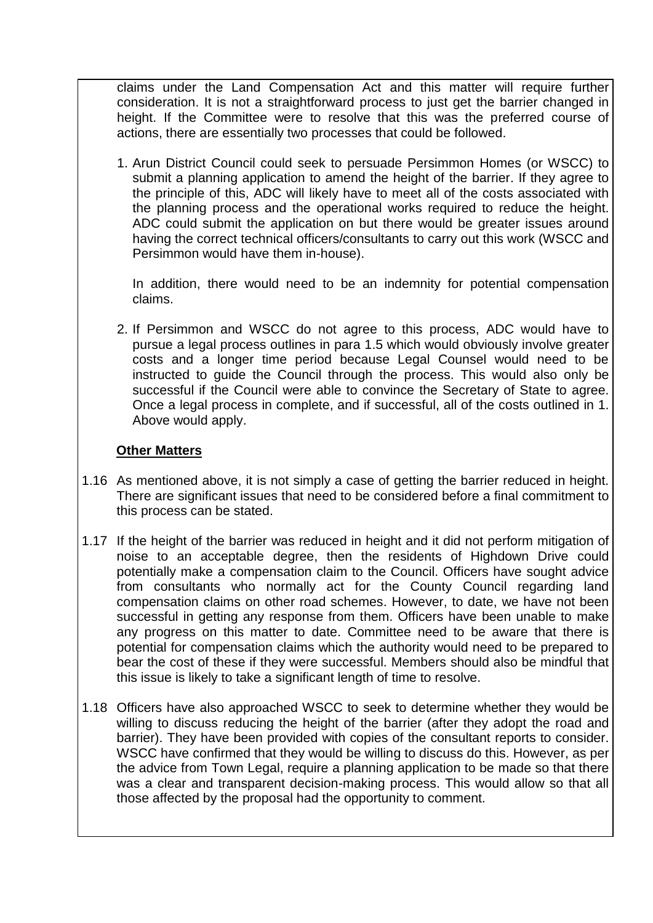claims under the Land Compensation Act and this matter will require further consideration. It is not a straightforward process to just get the barrier changed in height. If the Committee were to resolve that this was the preferred course of actions, there are essentially two processes that could be followed.

1. Arun District Council could seek to persuade Persimmon Homes (or WSCC) to submit a planning application to amend the height of the barrier. If they agree to the principle of this, ADC will likely have to meet all of the costs associated with the planning process and the operational works required to reduce the height. ADC could submit the application on but there would be greater issues around having the correct technical officers/consultants to carry out this work (WSCC and Persimmon would have them in-house).

In addition, there would need to be an indemnity for potential compensation claims.

2. If Persimmon and WSCC do not agree to this process, ADC would have to pursue a legal process outlines in para 1.5 which would obviously involve greater costs and a longer time period because Legal Counsel would need to be instructed to guide the Council through the process. This would also only be successful if the Council were able to convince the Secretary of State to agree. Once a legal process in complete, and if successful, all of the costs outlined in 1. Above would apply.

#### **Other Matters**

- 1.16 As mentioned above, it is not simply a case of getting the barrier reduced in height. There are significant issues that need to be considered before a final commitment to this process can be stated.
- 1.17 If the height of the barrier was reduced in height and it did not perform mitigation of noise to an acceptable degree, then the residents of Highdown Drive could potentially make a compensation claim to the Council. Officers have sought advice from consultants who normally act for the County Council regarding land compensation claims on other road schemes. However, to date, we have not been successful in getting any response from them. Officers have been unable to make any progress on this matter to date. Committee need to be aware that there is potential for compensation claims which the authority would need to be prepared to bear the cost of these if they were successful. Members should also be mindful that this issue is likely to take a significant length of time to resolve.
- 1.18 Officers have also approached WSCC to seek to determine whether they would be willing to discuss reducing the height of the barrier (after they adopt the road and barrier). They have been provided with copies of the consultant reports to consider. WSCC have confirmed that they would be willing to discuss do this. However, as per the advice from Town Legal, require a planning application to be made so that there was a clear and transparent decision-making process. This would allow so that all those affected by the proposal had the opportunity to comment.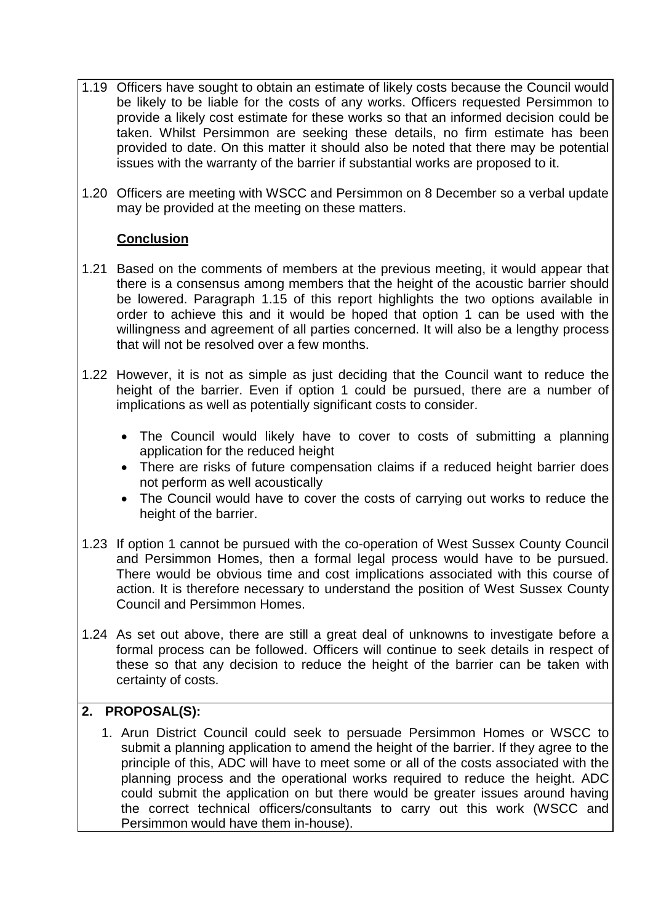- 1.19 Officers have sought to obtain an estimate of likely costs because the Council would be likely to be liable for the costs of any works. Officers requested Persimmon to provide a likely cost estimate for these works so that an informed decision could be taken. Whilst Persimmon are seeking these details, no firm estimate has been provided to date. On this matter it should also be noted that there may be potential issues with the warranty of the barrier if substantial works are proposed to it.
- 1.20 Officers are meeting with WSCC and Persimmon on 8 December so a verbal update may be provided at the meeting on these matters.

## **Conclusion**

- 1.21 Based on the comments of members at the previous meeting, it would appear that there is a consensus among members that the height of the acoustic barrier should be lowered. Paragraph 1.15 of this report highlights the two options available in order to achieve this and it would be hoped that option 1 can be used with the willingness and agreement of all parties concerned. It will also be a lengthy process that will not be resolved over a few months.
- 1.22 However, it is not as simple as just deciding that the Council want to reduce the height of the barrier. Even if option 1 could be pursued, there are a number of implications as well as potentially significant costs to consider.
	- The Council would likely have to cover to costs of submitting a planning application for the reduced height
	- There are risks of future compensation claims if a reduced height barrier does not perform as well acoustically
	- The Council would have to cover the costs of carrying out works to reduce the height of the barrier.
- 1.23 If option 1 cannot be pursued with the co-operation of West Sussex County Council and Persimmon Homes, then a formal legal process would have to be pursued. There would be obvious time and cost implications associated with this course of action. It is therefore necessary to understand the position of West Sussex County Council and Persimmon Homes.
- 1.24 As set out above, there are still a great deal of unknowns to investigate before a formal process can be followed. Officers will continue to seek details in respect of these so that any decision to reduce the height of the barrier can be taken with certainty of costs.

# **2. PROPOSAL(S):**

1. Arun District Council could seek to persuade Persimmon Homes or WSCC to submit a planning application to amend the height of the barrier. If they agree to the principle of this, ADC will have to meet some or all of the costs associated with the planning process and the operational works required to reduce the height. ADC could submit the application on but there would be greater issues around having the correct technical officers/consultants to carry out this work (WSCC and Persimmon would have them in-house).